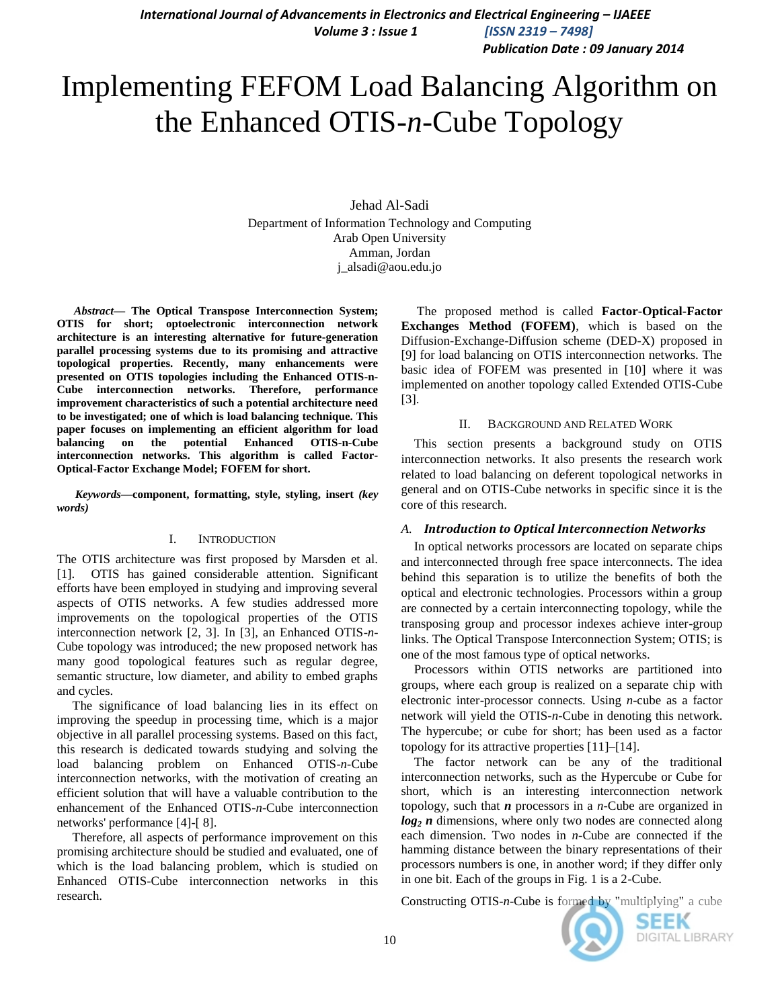*International Journal of Advancements in Electronics and Electrical Engineering – IJAEEE Volume 3 : Issue 1 [ISSN 2319 – 7498] Publication Date : 09 January 2014*

Implementing FEFOM Load Balancing Algorithm on the Enhanced OTIS-*n*-Cube Topology

> Jehad Al-Sadi Department of Information Technology and Computing Arab Open University Amman, Jordan j\_alsadi@aou.edu.jo

*Abstract***— The Optical Transpose Interconnection System; OTIS for short; optoelectronic interconnection network architecture is an interesting alternative for future-generation parallel processing systems due to its promising and attractive topological properties. Recently, many enhancements were presented on OTIS topologies including the Enhanced OTIS-n-Cube interconnection networks. Therefore, performance improvement characteristics of such a potential architecture need to be investigated; one of which is load balancing technique. This paper focuses on implementing an efficient algorithm for load balancing on the potential Enhanced OTIS-n-Cube interconnection networks. This algorithm is called Factor-Optical-Factor Exchange Model; FOFEM for short.**

*Keywords—***component, formatting, style, styling, insert** *(key words)*

#### I. INTRODUCTION

The OTIS architecture was first proposed by Marsden et al. [1]. OTIS has gained considerable attention. Significant efforts have been employed in studying and improving several aspects of OTIS networks. A few studies addressed more improvements on the topological properties of the OTIS interconnection network [2, 3]. In [3], an Enhanced OTIS-*n*-Cube topology was introduced; the new proposed network has many good topological features such as regular degree, semantic structure, low diameter, and ability to embed graphs and cycles.

The significance of load balancing lies in its effect on improving the speedup in processing time, which is a major objective in all parallel processing systems. Based on this fact, this research is dedicated towards studying and solving the load balancing problem on Enhanced OTIS-*n*-Cube interconnection networks, with the motivation of creating an efficient solution that will have a valuable contribution to the enhancement of the Enhanced OTIS-*n*-Cube interconnection networks' performance [4]-[ 8].

Therefore, all aspects of performance improvement on this promising architecture should be studied and evaluated, one of which is the load balancing problem, which is studied on Enhanced OTIS-Cube interconnection networks in this research.

The proposed method is called **Factor-Optical-Factor Exchanges Method (FOFEM)**, which is based on the Diffusion-Exchange-Diffusion scheme (DED-X) proposed in [9] for load balancing on OTIS interconnection networks. The basic idea of FOFEM was presented in [10] where it was implemented on another topology called Extended OTIS-Cube [3].

#### II. BACKGROUND AND RELATED WORK

This section presents a background study on OTIS interconnection networks. It also presents the research work related to load balancing on deferent topological networks in general and on OTIS-Cube networks in specific since it is the core of this research.

#### *A. Introduction to Optical Interconnection Networks*

In optical networks processors are located on separate chips and interconnected through free space interconnects. The idea behind this separation is to utilize the benefits of both the optical and electronic technologies. Processors within a group are connected by a certain interconnecting topology, while the transposing group and processor indexes achieve inter-group links. The Optical Transpose Interconnection System; OTIS; is one of the most famous type of optical networks.

Processors within OTIS networks are partitioned into groups, where each group is realized on a separate chip with electronic inter-processor connects. Using *n*-cube as a factor network will yield the OTIS-*n*-Cube in denoting this network. The hypercube; or cube for short; has been used as a factor topology for its attractive properties [11]–[14].

The factor network can be any of the traditional interconnection networks, such as the Hypercube or Cube for short, which is an interesting interconnection network topology, such that *n* processors in a *n*-Cube are organized in *log<sup>2</sup> n* dimensions, where only two nodes are connected along each dimension. Two nodes in *n*-Cube are connected if the hamming distance between the binary representations of their processors numbers is one, in another word; if they differ only in one bit. Each of the groups in Fig. 1 is a 2-Cube.

Constructing OTIS-*n*-Cube is formed by "multiplying" a cube

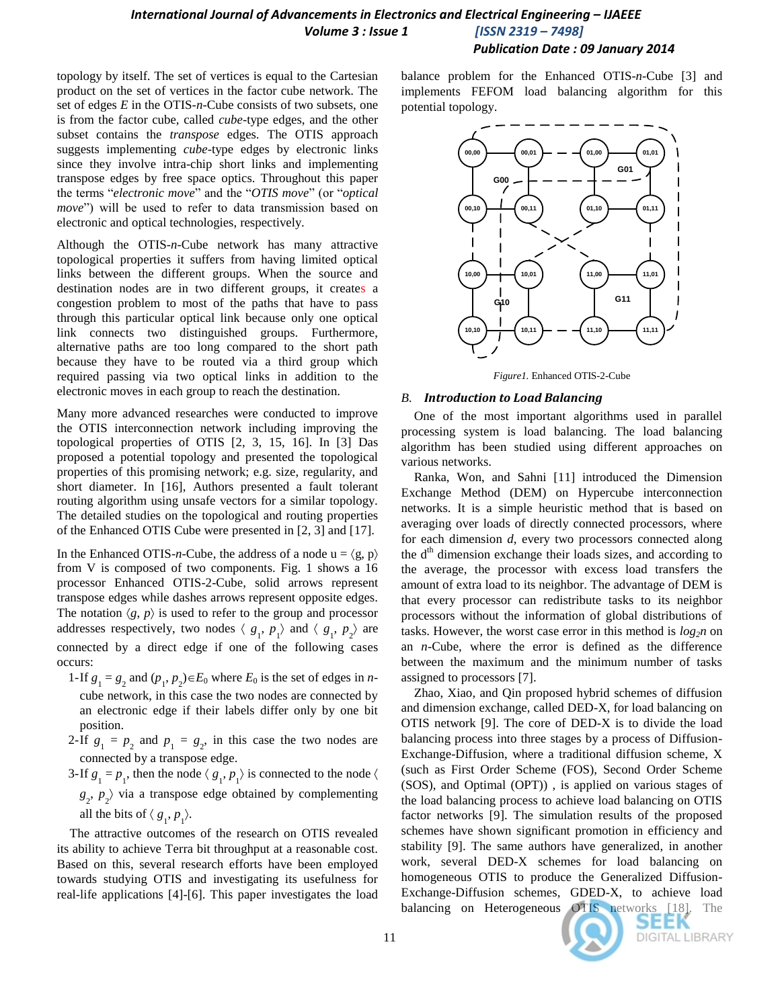*Publication Date : 09 January 2014*

topology by itself. The set of vertices is equal to the Cartesian product on the set of vertices in the factor cube network. The set of edges *E* in the OTIS*-n-*Cube consists of two subsets, one is from the factor cube, called *cube*-type edges, and the other subset contains the *transpose* edges. The OTIS approach suggests implementing *cube*-type edges by electronic links since they involve intra-chip short links and implementing transpose edges by free space optics. Throughout this paper the terms "*electronic move*" and the "*OTIS move*" (or "*optical move*") will be used to refer to data transmission based on electronic and optical technologies, respectively.

Although the OTIS-*n*-Cube network has many attractive topological properties it suffers from having limited optical links between the different groups. When the source and destination nodes are in two different groups, it creates a congestion problem to most of the paths that have to pass through this particular optical link because only one optical link connects two distinguished groups. Furthermore, alternative paths are too long compared to the short path because they have to be routed via a third group which required passing via two optical links in addition to the electronic moves in each group to reach the destination.

Many more advanced researches were conducted to improve the OTIS interconnection network including improving the topological properties of OTIS [2, 3, 15, 16]. In [3] Das proposed a potential topology and presented the topological properties of this promising network; e.g. size, regularity, and short diameter. In [16], Authors presented a fault tolerant routing algorithm using unsafe vectors for a similar topology. The detailed studies on the topological and routing properties of the Enhanced OTIS Cube were presented in [2, 3] and [17].

In the Enhanced OTIS-*n*-Cube, the address of a node  $u = \langle g, p \rangle$ from V is composed of two components. Fig. 1 shows a 16 processor Enhanced OTIS-2-Cube, solid arrows represent transpose edges while dashes arrows represent opposite edges. The notation  $\langle g, p \rangle$  is used to refer to the group and processor addresses respectively, two nodes  $\langle g_1, p_1 \rangle$  and  $\langle g_1, p_2 \rangle$  are connected by a direct edge if one of the following cases occurs:

- 1-If  $g_1 = g_2$  and  $(p_1, p_2) \in E_0$  where  $E_0$  is the set of edges in *n*cube network, in this case the two nodes are connected by an electronic edge if their labels differ only by one bit position.
- 2-If  $g_1 = p_2$  and  $p_1 = g_2$ , in this case the two nodes are connected by a transpose edge.
- 3-If  $g_1 = p_1$ , then the node  $\langle g_1, p_1 \rangle$  is connected to the node  $\langle g_1, g_2 \rangle$  $g_2$ ,  $p_2$  via a transpose edge obtained by complementing all the bits of  $\langle g_1, p_1 \rangle$ .

The attractive outcomes of the research on OTIS revealed its ability to achieve Terra bit throughput at a reasonable cost. Based on this, several research efforts have been employed towards studying OTIS and investigating its usefulness for real-life applications [4]-[6]. This paper investigates the load balance problem for the Enhanced OTIS-*n*-Cube [3] and implements FEFOM load balancing algorithm for this potential topology.



*Figure1.* Enhanced OTIS-2-Cube

#### *B. Introduction to Load Balancing*

One of the most important algorithms used in parallel processing system is load balancing. The load balancing algorithm has been studied using different approaches on various networks.

Ranka, Won, and Sahni [11] introduced the Dimension Exchange Method (DEM) on Hypercube interconnection networks. It is a simple heuristic method that is based on averaging over loads of directly connected processors, where for each dimension *d*, every two processors connected along the d<sup>th</sup> dimension exchange their loads sizes, and according to the average, the processor with excess load transfers the amount of extra load to its neighbor. The advantage of DEM is that every processor can redistribute tasks to its neighbor processors without the information of global distributions of tasks. However, the worst case error in this method is  $log_2 n$  on an *n-*Cube, where the error is defined as the difference between the maximum and the minimum number of tasks assigned to processors [7].

Zhao, Xiao, and Qin proposed hybrid schemes of diffusion and dimension exchange, called DED-X, for load balancing on OTIS network [9]. The core of DED-X is to divide the load balancing process into three stages by a process of Diffusion-Exchange-Diffusion, where a traditional diffusion scheme, X (such as First Order Scheme (FOS), Second Order Scheme (SOS), and Optimal (OPT)) , is applied on various stages of the load balancing process to achieve load balancing on OTIS factor networks [9]. The simulation results of the proposed schemes have shown significant promotion in efficiency and stability [9]. The same authors have generalized, in another work, several DED-X schemes for load balancing on homogeneous OTIS to produce the Generalized Diffusion-Exchange-Diffusion schemes, GDED-X, to achieve load balancing on Heterogeneous OTIS networks [18]. The

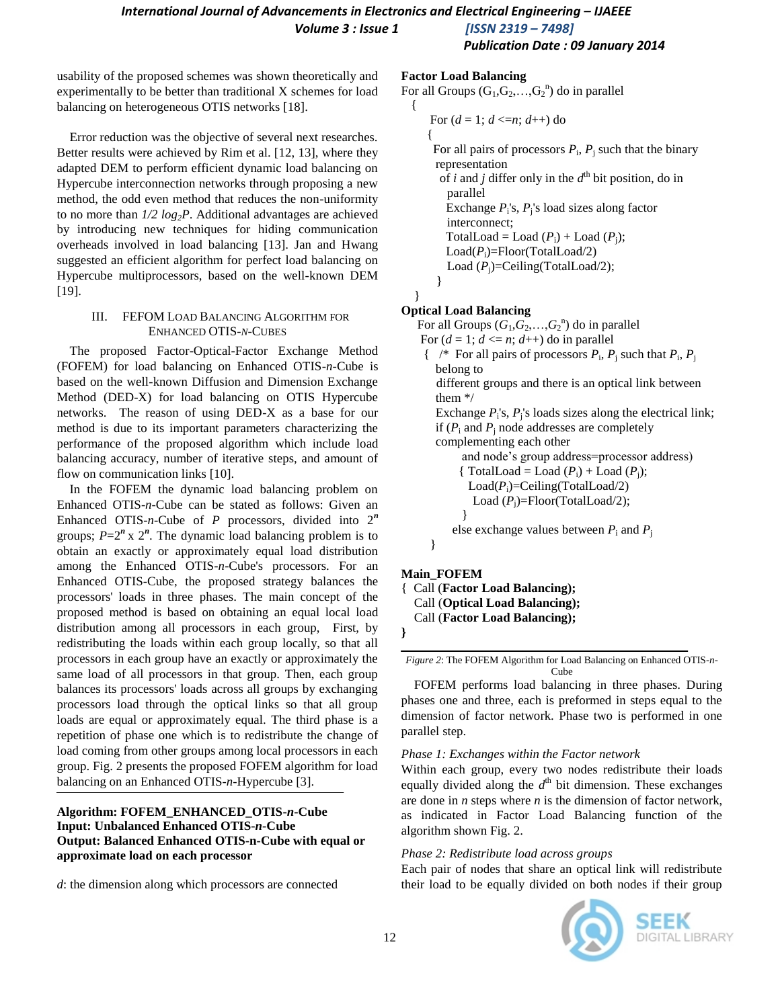*Volume 3 : Issue 1 [ISSN 2319 – 7498]*

*Publication Date : 09 January 2014*

usability of the proposed schemes was shown theoretically and experimentally to be better than traditional X schemes for load balancing on heterogeneous OTIS networks [18].

Error reduction was the objective of several next researches. Better results were achieved by Rim et al. [12, 13], where they adapted DEM to perform efficient dynamic load balancing on Hypercube interconnection networks through proposing a new method, the odd even method that reduces the non-uniformity to no more than *1/2 log2P*. Additional advantages are achieved by introducing new techniques for hiding communication overheads involved in load balancing [13]. Jan and Hwang suggested an efficient algorithm for perfect load balancing on Hypercube multiprocessors, based on the well-known DEM [19].

#### III. FEFOM LOAD BALANCING ALGORITHM FOR ENHANCED OTIS-*N*-CUBES

The proposed Factor-Optical-Factor Exchange Method (FOFEM) for load balancing on Enhanced OTIS-*n*-Cube is based on the well-known Diffusion and Dimension Exchange Method (DED-X) for load balancing on OTIS Hypercube networks. The reason of using DED-X as a base for our method is due to its important parameters characterizing the performance of the proposed algorithm which include load balancing accuracy, number of iterative steps, and amount of flow on communication links [10].

In the FOFEM the dynamic load balancing problem on Enhanced OTIS-*n*-Cube can be stated as follows: Given an Enhanced OTIS-*n*-Cube of *P* processors, divided into 2*<sup>n</sup>* groups;  $P=2^n$  x  $2^n$ . The dynamic load balancing problem is to obtain an exactly or approximately equal load distribution among the Enhanced OTIS-*n*-Cube's processors. For an Enhanced OTIS-Cube, the proposed strategy balances the processors' loads in three phases. The main concept of the proposed method is based on obtaining an equal local load distribution among all processors in each group, First, by redistributing the loads within each group locally, so that all processors in each group have an exactly or approximately the same load of all processors in that group. Then, each group balances its processors' loads across all groups by exchanging processors load through the optical links so that all group loads are equal or approximately equal. The third phase is a repetition of phase one which is to redistribute the change of load coming from other groups among local processors in each group. Fig. 2 presents the proposed FOFEM algorithm for load balancing on an Enhanced OTIS-*n*-Hypercube [3].

# **Algorithm: FOFEM\_ENHANCED\_OTIS-***n***-Cube Input: Unbalanced Enhanced OTIS-***n***-Cube Output: Balanced Enhanced OTIS-n-Cube with equal or approximate load on each processor**

*d*: the dimension along which processors are connected

#### **Factor Load Balancing**

```
For all Groups (G_1, G_2, ..., G_2^n) do in parallel
 {
```

```
For (d = 1; d \le n; d++) do
\left\{\begin{array}{ccc} \end{array}\right\}
```
For all pairs of processors  $P_i$ ,  $P_j$  such that the binary representation of *i* and *j* differ only in the  $d^{\text{th}}$  bit position, do in parallel Exchange  $P_i$ 's,  $P_j$ 's load sizes along factor interconnect; TotalLoad = Load  $(P_i)$  + Load  $(P_i)$ ;  $Load(P_i)$ =Floor(TotalLoad/2) Load (P<sub>i</sub>)=Ceiling(TotalLoad/2); }

# **Optical Load Balancing**

}

For all Groups  $(G_1, G_2, \ldots, G_2^n)$  do in parallel For  $(d = 1; d \le n; d++)$  do in parallel  $\left\{ \quad \right\}^*$  For all pairs of processors  $P_i$ ,  $P_j$  such that  $P_i$ ,  $P_j$ belong to different groups and there is an optical link between them \*/ Exchange  $P_i$ 's,  $P_i$ 's loads sizes along the electrical link; if  $(P_i$  and  $P_j$  node addresses are completely complementing each other and node's group address=processor address) {  $TotalLoad = Load (P_i) + Load (P_i);$  $Load(P_i)$ =Ceiling(TotalLoad/2) Load (P<sub>i</sub>)=Floor(TotalLoad/2); } else exchange values between  $P_i$  and  $P_j$ }

# **Main\_FOFEM**

{ Call (**Factor Load Balancing);** Call (**Optical Load Balancing);** Call (**Factor Load Balancing);**

*Figure 2*: The FOFEM Algorithm for Load Balancing on Enhanced OTIS-*n*-Cube

FOFEM performs load balancing in three phases. During phases one and three, each is preformed in steps equal to the dimension of factor network. Phase two is performed in one parallel step.

# *Phase 1: Exchanges within the Factor network*

Within each group, every two nodes redistribute their loads equally divided along the *d*<sup>th</sup> bit dimension. These exchanges are done in *n* steps where *n* is the dimension of factor network, as indicated in Factor Load Balancing function of the algorithm shown Fig. 2.

# *Phase 2: Redistribute load across groups*

Each pair of nodes that share an optical link will redistribute their load to be equally divided on both nodes if their group



**<sup>}</sup>**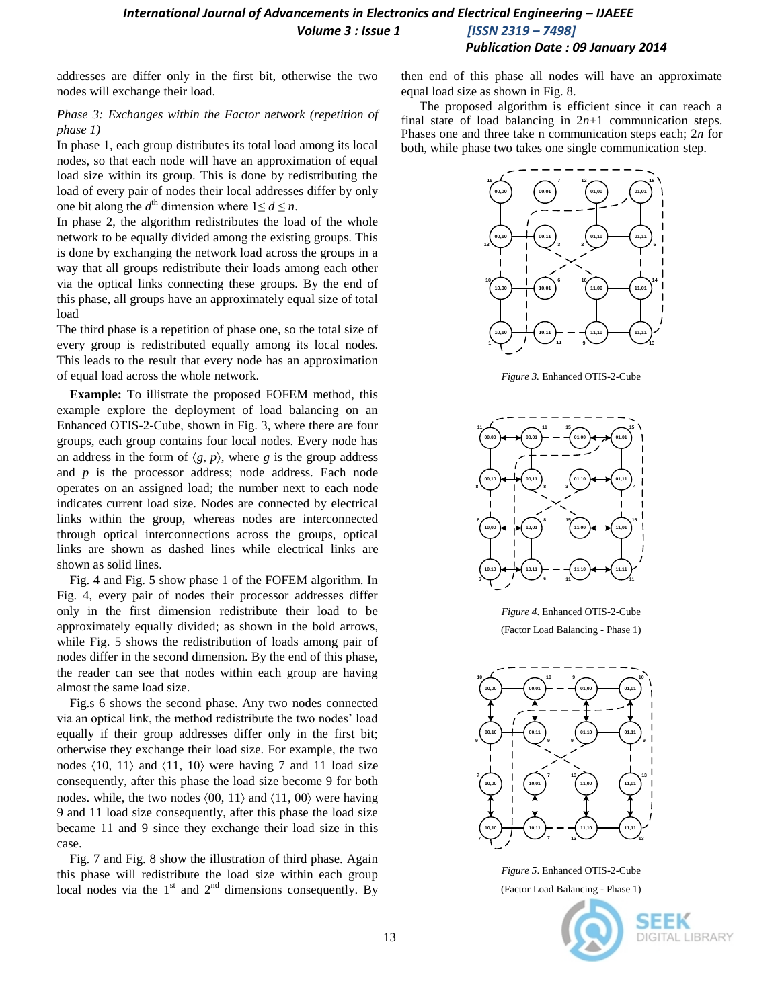*International Journal of Advancements in Electronics and Electrical Engineering - IJAEEE Volume 3 : Issue 1 [ISSN 2319 – 7498]*

*Publication Date : 09 January 2014*

addresses are differ only in the first bit, otherwise the two nodes will exchange their load.

# *Phase 3: Exchanges within the Factor network (repetition of phase 1)*

In phase 1, each group distributes its total load among its local nodes, so that each node will have an approximation of equal load size within its group. This is done by redistributing the load of every pair of nodes their local addresses differ by only one bit along the  $d^{\text{th}}$  dimension where  $1 \le d \le n$ .

In phase 2, the algorithm redistributes the load of the whole network to be equally divided among the existing groups. This is done by exchanging the network load across the groups in a way that all groups redistribute their loads among each other via the optical links connecting these groups. By the end of this phase, all groups have an approximately equal size of total load

The third phase is a repetition of phase one, so the total size of every group is redistributed equally among its local nodes. This leads to the result that every node has an approximation of equal load across the whole network.

**Example:** To illistrate the proposed FOFEM method, this example explore the deployment of load balancing on an Enhanced OTIS-2-Cube, shown in Fig. 3, where there are four groups, each group contains four local nodes. Every node has an address in the form of  $\langle g, p \rangle$ , where *g* is the group address and *p* is the processor address; node address. Each node operates on an assigned load; the number next to each node indicates current load size. Nodes are connected by electrical links within the group, whereas nodes are interconnected through optical interconnections across the groups, optical links are shown as dashed lines while electrical links are shown as solid lines.

Fig. 4 and Fig. 5 show phase 1 of the FOFEM algorithm. In Fig. 4, every pair of nodes their processor addresses differ only in the first dimension redistribute their load to be approximately equally divided; as shown in the bold arrows, while Fig. 5 shows the redistribution of loads among pair of nodes differ in the second dimension. By the end of this phase, the reader can see that nodes within each group are having almost the same load size.

Fig.s 6 shows the second phase. Any two nodes connected via an optical link, the method redistribute the two nodes' load equally if their group addresses differ only in the first bit; otherwise they exchange their load size. For example, the two nodes  $\langle 10, 11 \rangle$  and  $\langle 11, 10 \rangle$  were having 7 and 11 load size consequently, after this phase the load size become 9 for both nodes. while, the two nodes  $(00, 11)$  and  $(11, 00)$  were having 9 and 11 load size consequently, after this phase the load size became 11 and 9 since they exchange their load size in this case.

Fig. 7 and Fig. 8 show the illustration of third phase. Again this phase will redistribute the load size within each group local nodes via the  $1<sup>st</sup>$  and  $2<sup>nd</sup>$  dimensions consequently. By then end of this phase all nodes will have an approximate equal load size as shown in Fig. 8.

The proposed algorithm is efficient since it can reach a final state of load balancing in  $2n+1$  communication steps. Phases one and three take n communication steps each; 2*n* for both, while phase two takes one single communication step.



*Figure 3.* Enhanced OTIS-2-Cube



*Figure 4*. Enhanced OTIS-2-Cube (Factor Load Balancing - Phase 1)



*Figure 5*. Enhanced OTIS-2-Cube (Factor Load Balancing - Phase 1)